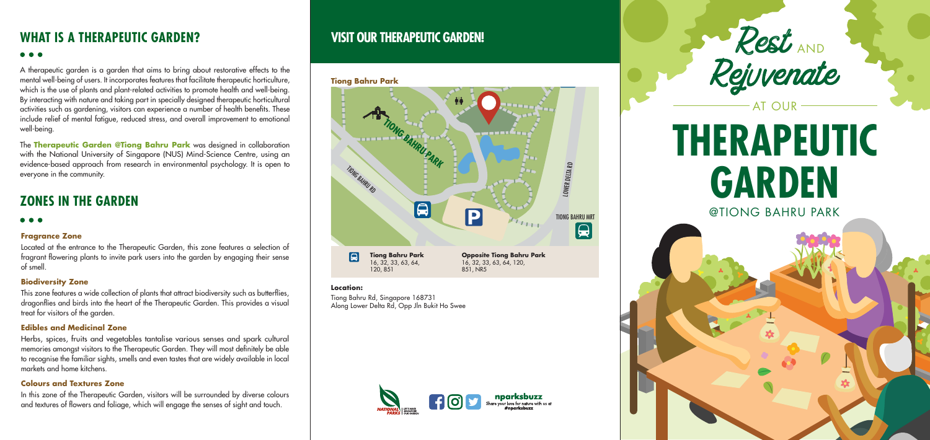## **WHAT IS A Therapeutic Garden?**

## ...

A therapeutic garden is a garden that aims to bring about restorative effects to the mental well-being of users. It incorporates features that facilitate therapeutic horticulture, which is the use of plants and plant-related activities to promote health and well-being. By interacting with nature and taking part in specially designed therapeutic horticultural activities such as gardening, visitors can experience a number of health benefits. These include relief of mental fatigue, reduced stress, and overall improvement to emotional well-being.

The **Therapeutic Garden @Tiong Bahru Park** was designed in collaboration with the National University of Singapore (NUS) Mind-Science Centre, using an evidence-based approach from research in environmental psychology. It is open to everyone in the community.

## **ZONES IN THE GARDEN**

#### . . .

#### **Fragrance Zone**

In this zone of the Therapeutic Garden, visitors will be surrounded by diverse colours and textures of flowers and foliage, which will engage the senses of sight and touch.

Located at the entrance to the Therapeutic Garden, this zone features a selection of fragrant flowering plants to invite park users into the garden by engaging their sense of smell.

## **Biodiversity Zone**

This zone features a wide collection of plants that attract biodiversity such as butterflies, dragonflies and birds into the heart of the Therapeutic Garden. This provides a visual treat for visitors of the garden.

## **Edibles and Medicinal Zone**

Herbs, spices, fruits and vegetables tantalise various senses and spark cultural memories amongst visitors to the Therapeutic Garden. They will most definitely be able to recognise the familiar sights, smells and even tastes that are widely available in local markets and home kitchens.

## **Colours and Textures Zone**

## **Visit our Therapeutic Garden!**

### **Tiong Bahru Park**

#### **Location:**

Tiong Bahru Rd, Singapore 168731 Along Lower Delta Rd, Opp Jln Bukit Ho Swee



@TIONG BAHRU PARK

# **THERAPEUTIC GARDEN**